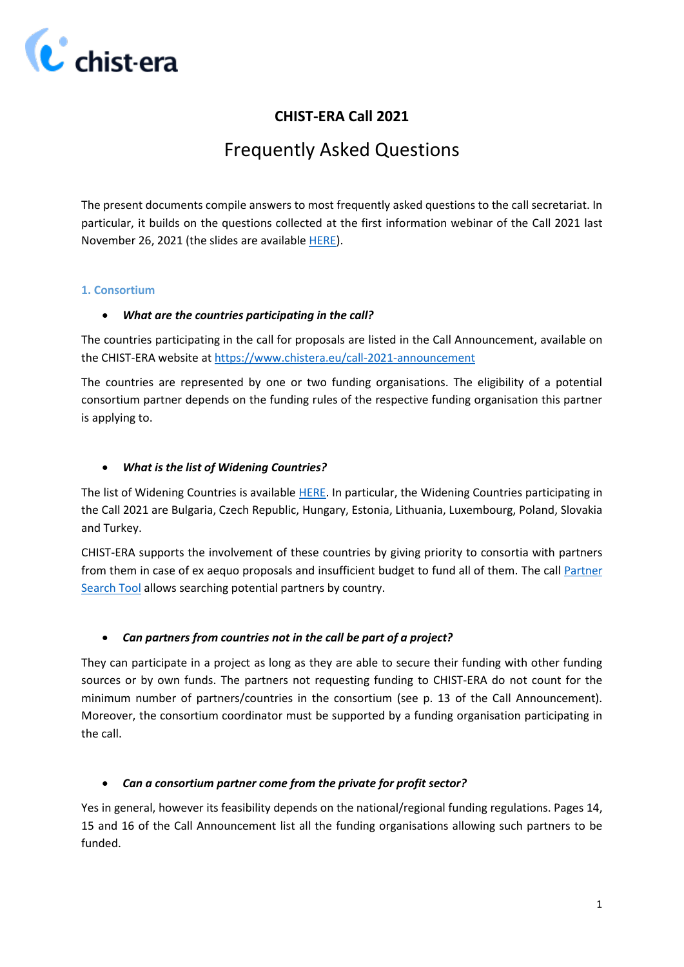

## **CHIST-ERA Call 2021**

# Frequently Asked Questions

The present documents compile answers to most frequently asked questions to the call secretariat. In particular, it builds on the questions collected at the first information webinar of the Call 2021 last November 26, 2021 (the slides are available [HERE\)](https://www.chistera.eu/sites/www.chistera.eu/files/CHIST-ERA%20Call%202021_Webinar%20%231.pdf).

## **1. Consortium**

## *What are the countries participating in the call?*

The countries participating in the call for proposals are listed in the Call Announcement, available on the CHIST-ERA website at <https://www.chistera.eu/call-2021-announcement>

The countries are represented by one or two funding organisations. The eligibility of a potential consortium partner depends on the funding rules of the respective funding organisation this partner is applying to.

## *What is the list of Widening Countries?*

The list of Widening Countries is available [HERE.](https://ec.europa.eu/programmes/horizon2020/en/h2020-section/spreading-excellence-and-widening-participation) In particular, the Widening Countries participating in the Call 2021 are Bulgaria, Czech Republic, Hungary, Estonia, Lithuania, Luxembourg, Poland, Slovakia and Turkey.

CHIST-ERA supports the involvement of these countries by giving priority to consortia with partners from them in case of ex aequo proposals and insufficient budget to fund all of them. The call [Partner](https://www.chistera.eu/partner-search-tool/2021)  [Search Tool](https://www.chistera.eu/partner-search-tool/2021) allows searching potential partners by country.

## *Can partners from countries not in the call be part of a project?*

They can participate in a project as long as they are able to secure their funding with other funding sources or by own funds. The partners not requesting funding to CHIST-ERA do not count for the minimum number of partners/countries in the consortium (see p. 13 of the Call Announcement). Moreover, the consortium coordinator must be supported by a funding organisation participating in the call.

## *Can a consortium partner come from the private for profit sector?*

Yes in general, however its feasibility depends on the national/regional funding regulations. Pages 14, 15 and 16 of the Call Announcement list all the funding organisations allowing such partners to be funded.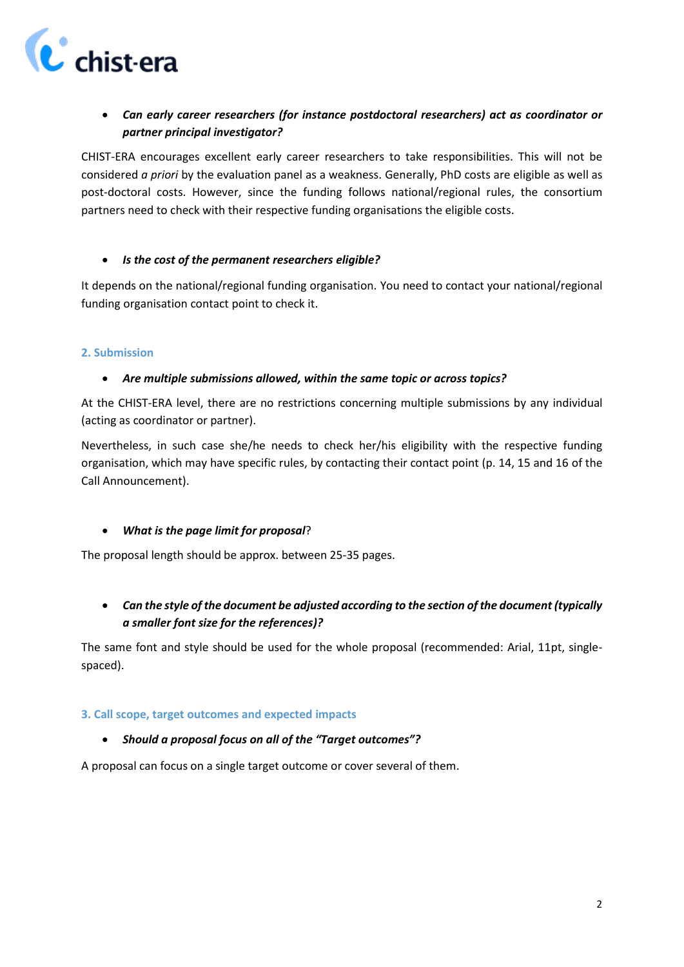

## *Can early career researchers (for instance postdoctoral researchers) act as coordinator or partner principal investigator?*

CHIST-ERA encourages excellent early career researchers to take responsibilities. This will not be considered *a priori* by the evaluation panel as a weakness. Generally, PhD costs are eligible as well as post-doctoral costs. However, since the funding follows national/regional rules, the consortium partners need to check with their respective funding organisations the eligible costs.

## *Is the cost of the permanent researchers eligible?*

It depends on the national/regional funding organisation. You need to contact your national/regional funding organisation contact point to check it.

## **2. Submission**

## *Are multiple submissions allowed, within the same topic or across topics?*

At the CHIST-ERA level, there are no restrictions concerning multiple submissions by any individual (acting as coordinator or partner).

Nevertheless, in such case she/he needs to check her/his eligibility with the respective funding organisation, which may have specific rules, by contacting their contact point (p. 14, 15 and 16 of the Call Announcement).

## *What is the page limit for proposal*?

The proposal length should be approx. between 25-35 pages.

 *Can the style of the document be adjusted according to the section of the document (typically a smaller font size for the references)?* 

The same font and style should be used for the whole proposal (recommended: Arial, 11pt, singlespaced).

#### **3. Call scope, target outcomes and expected impacts**

#### *Should a proposal focus on all of the "Target outcomes"?*

A proposal can focus on a single target outcome or cover several of them.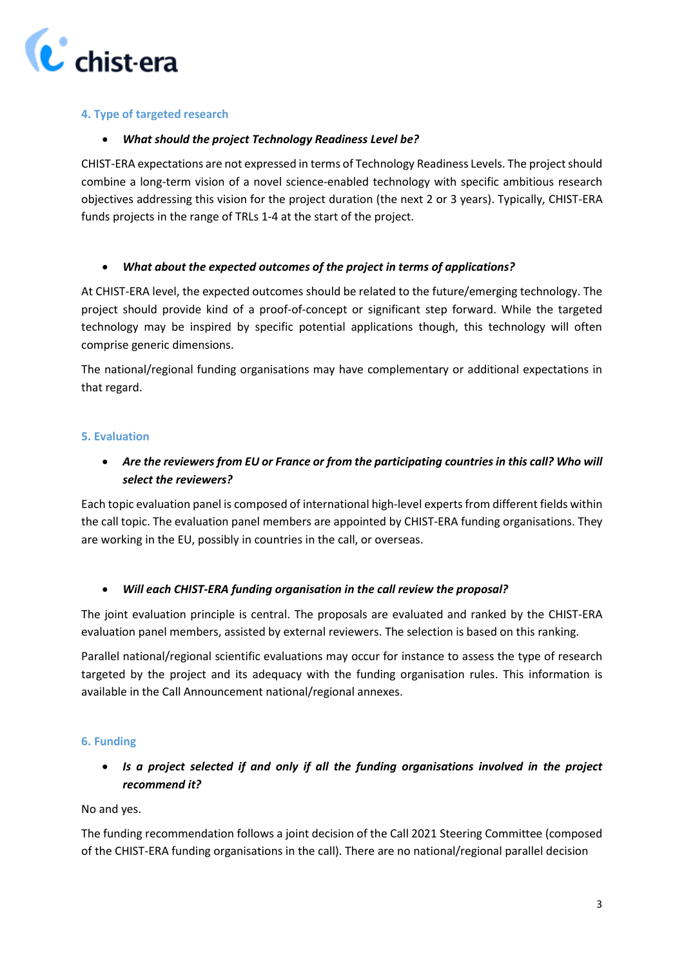

## **4. Type of targeted research**

## *What should the project Technology Readiness Level be?*

CHIST-ERA expectations are not expressed in terms of Technology Readiness Levels. The project should combine a long-term vision of a novel science-enabled technology with specific ambitious research objectives addressing this vision for the project duration (the next 2 or 3 years). Typically, CHIST-ERA funds projects in the range of TRLs 1-4 at the start of the project.

## *What about the expected outcomes of the project in terms of applications?*

At CHIST-ERA level, the expected outcomes should be related to the future/emerging technology. The project should provide kind of a proof-of-concept or significant step forward. While the targeted technology may be inspired by specific potential applications though, this technology will often comprise generic dimensions.

The national/regional funding organisations may have complementary or additional expectations in that regard.

## **5. Evaluation**

## *Are the reviewers from EU or France or from the participating countries in this call? Who will select the reviewers?*

Each topic evaluation panel is composed of international high-level experts from different fields within the call topic. The evaluation panel members are appointed by CHIST-ERA funding organisations. They are working in the EU, possibly in countries in the call, or overseas.

## *Will each CHIST-ERA funding organisation in the call review the proposal?*

The joint evaluation principle is central. The proposals are evaluated and ranked by the CHIST-ERA evaluation panel members, assisted by external reviewers. The selection is based on this ranking.

Parallel national/regional scientific evaluations may occur for instance to assess the type of research targeted by the project and its adequacy with the funding organisation rules. This information is available in the Call Announcement national/regional annexes.

#### **6. Funding**

## *Is a project selected if and only if all the funding organisations involved in the project recommend it?*

No and yes.

The funding recommendation follows a joint decision of the Call 2021 Steering Committee (composed of the CHIST-ERA funding organisations in the call). There are no national/regional parallel decision